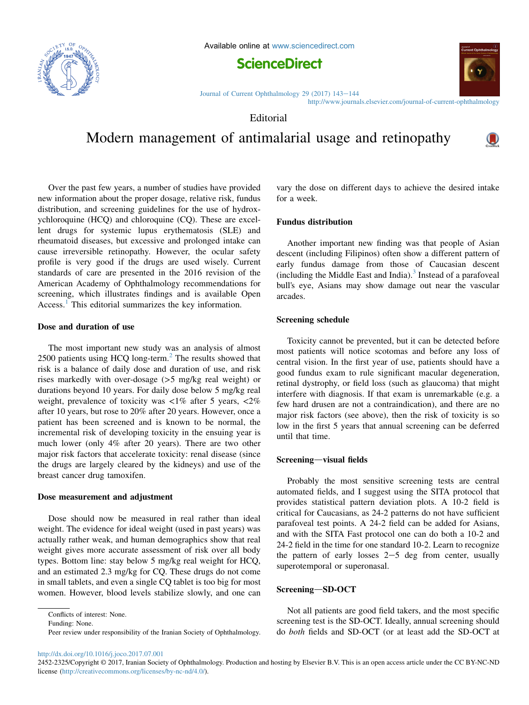

Available online at [www.sciencedirect.com](www.sciencedirect.com/science/journal/24522325)



[Journal of Current Ophthalmology 29 \(2017\) 143](http://dx.doi.org/10.1016/j.joco.2017.07.001)-[144](http://dx.doi.org/10.1016/j.joco.2017.07.001) <http://www.journals.elsevier.com/journal-of-current-ophthalmology>

Editorial

Modern management of antimalarial usage and retinopathy

Over the past few years, a number of studies have provided new information about the proper dosage, relative risk, fundus distribution, and screening guidelines for the use of hydroxychloroquine (HCQ) and chloroquine (CQ). These are excellent drugs for systemic lupus erythematosis (SLE) and rheumatoid diseases, but excessive and prolonged intake can cause irreversible retinopathy. However, the ocular safety profile is very good if the drugs are used wisely. Current standards of care are presented in the 2016 revision of the American Academy of Ophthalmology recommendations for screening, which illustrates findings and is available Open Access.<sup>[1](#page-1-0)</sup> This editorial summarizes the key information.

### Dose and duration of use

The most important new study was an analysis of almost [2](#page-1-0)500 patients using HCQ long-term.<sup>2</sup> The results showed that risk is a balance of daily dose and duration of use, and risk rises markedly with over-dosage (>5 mg/kg real weight) or durations beyond 10 years. For daily dose below 5 mg/kg real weight, prevalence of toxicity was  $\langle 1\% \rangle$  after 5 years,  $\langle 2\% \rangle$ after 10 years, but rose to 20% after 20 years. However, once a patient has been screened and is known to be normal, the incremental risk of developing toxicity in the ensuing year is much lower (only 4% after 20 years). There are two other major risk factors that accelerate toxicity: renal disease (since the drugs are largely cleared by the kidneys) and use of the breast cancer drug tamoxifen.

### Dose measurement and adjustment

Dose should now be measured in real rather than ideal weight. The evidence for ideal weight (used in past years) was actually rather weak, and human demographics show that real weight gives more accurate assessment of risk over all body types. Bottom line: stay below 5 mg/kg real weight for HCQ, and an estimated 2.3 mg/kg for CQ. These drugs do not come in small tablets, and even a single CQ tablet is too big for most women. However, blood levels stabilize slowly, and one can

vary the dose on different days to achieve the desired intake for a week.

# Fundus distribution

Another important new finding was that people of Asian descent (including Filipinos) often show a different pattern of early fundus damage from those of Caucasian descent (including the Middle East and India). $3$  Instead of a parafoveal bull's eye, Asians may show damage out near the vascular arcades.

## Screening schedule

Toxicity cannot be prevented, but it can be detected before most patients will notice scotomas and before any loss of central vision. In the first year of use, patients should have a good fundus exam to rule significant macular degeneration, retinal dystrophy, or field loss (such as glaucoma) that might interfere with diagnosis. If that exam is unremarkable (e.g. a few hard drusen are not a contraindication), and there are no major risk factors (see above), then the risk of toxicity is so low in the first 5 years that annual screening can be deferred until that time.

#### Screening-visual fields

Probably the most sensitive screening tests are central automated fields, and I suggest using the SITA protocol that provides statistical pattern deviation plots. A 10-2 field is critical for Caucasians, as 24-2 patterns do not have sufficient parafoveal test points. A 24-2 field can be added for Asians, and with the SITA Fast protocol one can do both a 10-2 and 24-2 field in the time for one standard 10-2. Learn to recognize the pattern of early losses  $2-5$  deg from center, usually superotemporal or superonasal.

### Screening-SD-OCT

Not all patients are good field takers, and the most specific screening test is the SD-OCT. Ideally, annual screening should do both fields and SD-OCT (or at least add the SD-OCT at

<http://dx.doi.org/10.1016/j.joco.2017.07.001>



 $\mathbf{\mathbf{\mathbb{O}}}$ 

Conflicts of interest: None.

Funding: None.

Peer review under responsibility of the Iranian Society of Ophthalmology.

<sup>2452-2325/</sup>Copyright © 2017, Iranian Society of Ophthalmology. Production and hosting by Elsevier B.V. This is an open access article under the CC BY-NC-ND license [\(http://creativecommons.org/licenses/by-nc-nd/4.0/\)](http://creativecommons.org/licenses/by-nc-nd/4.0/).